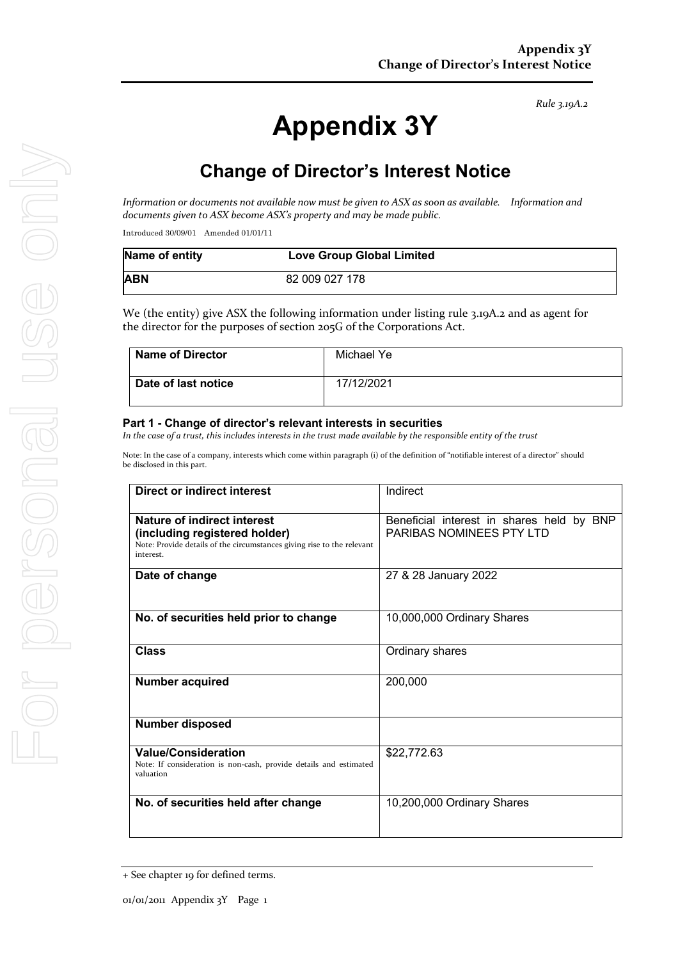#### *Rule 3.19A.2*

# **Appendix 3Y**

# **Change of Director's Interest Notice**

*Information* or documents not available now must be given to ASX as soon as available. Information and documents given to ASX become ASX's property and may be made public.

Introduced 30/09/01 Amended 01/01/11

| Name of entity | <b>Love Group Global Limited</b> |
|----------------|----------------------------------|
| <b>ABN</b>     | 82 009 027 178                   |

We (the entity) give ASX the following information under listing rule 3.19A.2 and as agent for the director for the purposes of section 205G of the Corporations Act.

| <b>Name of Director</b> | Michael Ye |
|-------------------------|------------|
| Date of last notice     | 17/12/2021 |

#### **Part 1 - Change of director's relevant interests in securities**

In the case of a trust, this includes interests in the trust made available by the responsible entity of the trust

Note: In the case of a company, interests which come within paragraph (i) of the definition of "notifiable interest of a director" should be disclosed in this part.

| <b>Direct or indirect interest</b>                                                                                                                  | Indirect                                                                     |
|-----------------------------------------------------------------------------------------------------------------------------------------------------|------------------------------------------------------------------------------|
| Nature of indirect interest<br>(including registered holder)<br>Note: Provide details of the circumstances giving rise to the relevant<br>interest. | Beneficial interest in shares held by BNP<br><b>PARIBAS NOMINEES PTY LTD</b> |
| Date of change                                                                                                                                      | 27 & 28 January 2022                                                         |
| No. of securities held prior to change                                                                                                              | 10,000,000 Ordinary Shares                                                   |
| <b>Class</b>                                                                                                                                        | Ordinary shares                                                              |
| <b>Number acquired</b>                                                                                                                              | 200,000                                                                      |
| Number disposed                                                                                                                                     |                                                                              |
| <b>Value/Consideration</b><br>Note: If consideration is non-cash, provide details and estimated<br>valuation                                        | \$22,772.63                                                                  |
| No. of securities held after change                                                                                                                 | 10,200,000 Ordinary Shares                                                   |

<sup>+</sup> See chapter 19 for defined terms.